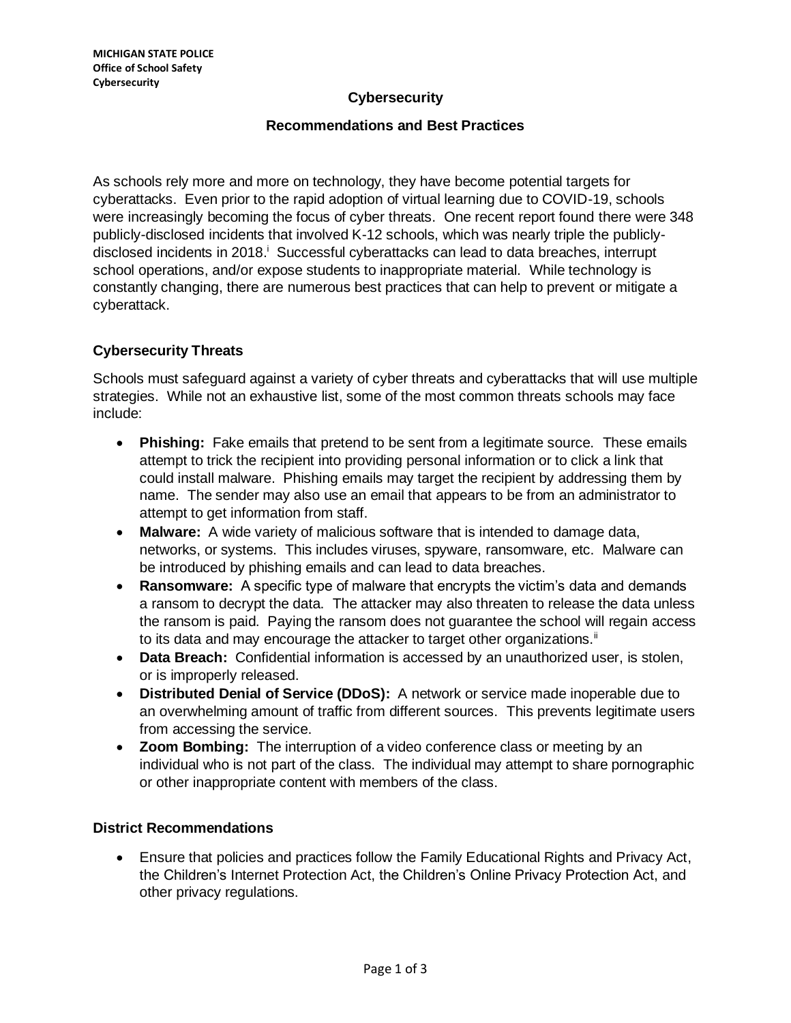### **Cybersecurity**

#### **Recommendations and Best Practices**

As schools rely more and more on technology, they have become potential targets for cyberattacks. Even prior to the rapid adoption of virtual learning due to COVID-19, schools were increasingly becoming the focus of cyber threats. One recent report found there were 348 publicly-disclosed incidents that involved K-12 schools, which was nearly triple the publiclydisclosed incidents in 2018. Successful cyberattacks can lead to data breaches, interrupt school operations, and/or expose students to inappropriate material. While technology is constantly changing, there are numerous best practices that can help to prevent or mitigate a cyberattack.

## **Cybersecurity Threats**

Schools must safeguard against a variety of cyber threats and cyberattacks that will use multiple strategies. While not an exhaustive list, some of the most common threats schools may face include:

- **Phishing:** Fake emails that pretend to be sent from a legitimate source. These emails attempt to trick the recipient into providing personal information or to click a link that could install malware. Phishing emails may target the recipient by addressing them by name. The sender may also use an email that appears to be from an administrator to attempt to get information from staff.
- **Malware:** A wide variety of malicious software that is intended to damage data, networks, or systems. This includes viruses, spyware, ransomware, etc. Malware can be introduced by phishing emails and can lead to data breaches.
- **Ransomware:** A specific type of malware that encrypts the victim's data and demands a ransom to decrypt the data. The attacker may also threaten to release the data unless the ransom is paid. Paying the ransom does not guarantee the school will regain access to its data and may encourage the attacker to target other organizations.<sup>ii</sup>
- **Data Breach:** Confidential information is accessed by an unauthorized user, is stolen, or is improperly released.
- **Distributed Denial of Service (DDoS):** A network or service made inoperable due to an overwhelming amount of traffic from different sources. This prevents legitimate users from accessing the service.
- **Zoom Bombing:** The interruption of a video conference class or meeting by an individual who is not part of the class. The individual may attempt to share pornographic or other inappropriate content with members of the class.

### **District Recommendations**

• Ensure that policies and practices follow the Family Educational Rights and Privacy Act, the Children's Internet Protection Act, the Children's Online Privacy Protection Act, and other privacy regulations.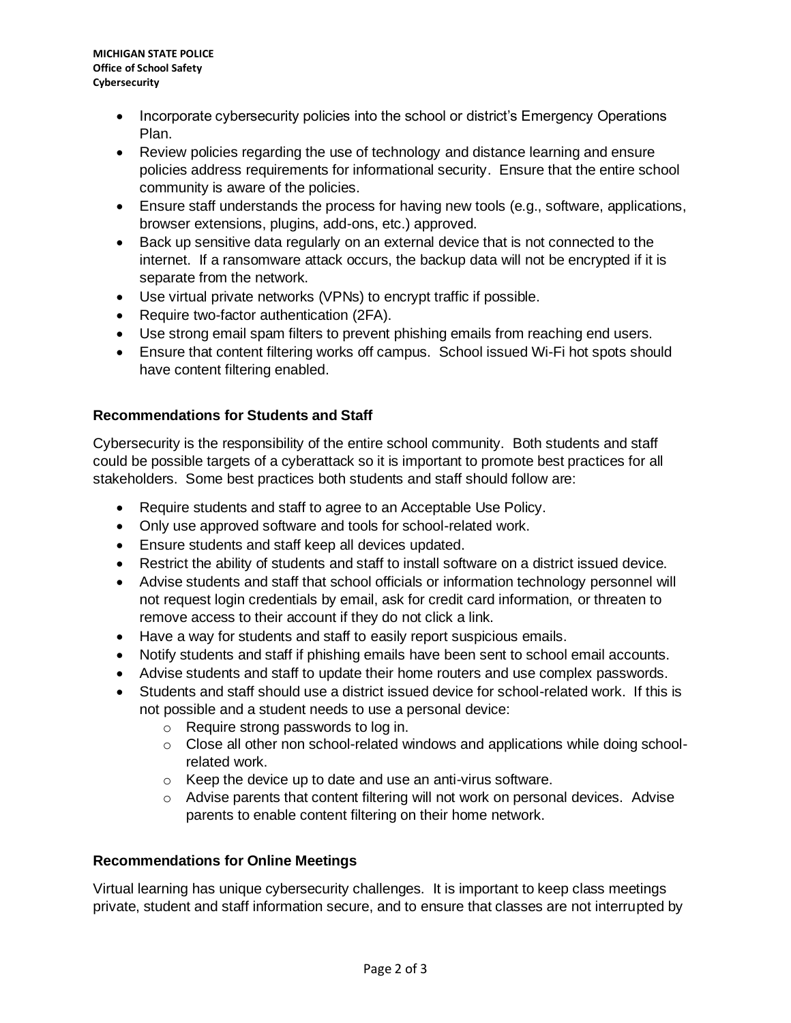- Incorporate cybersecurity policies into the school or district's Emergency Operations Plan.
- Review policies regarding the use of technology and distance learning and ensure policies address requirements for informational security. Ensure that the entire school community is aware of the policies.
- Ensure staff understands the process for having new tools (e.g., software, applications, browser extensions, plugins, add-ons, etc.) approved.
- Back up sensitive data regularly on an external device that is not connected to the internet. If a ransomware attack occurs, the backup data will not be encrypted if it is separate from the network.
- Use virtual private networks (VPNs) to encrypt traffic if possible.
- Require two-factor authentication (2FA).
- Use strong email spam filters to prevent phishing emails from reaching end users.
- Ensure that content filtering works off campus. School issued Wi-Fi hot spots should have content filtering enabled.

# **Recommendations for Students and Staff**

Cybersecurity is the responsibility of the entire school community. Both students and staff could be possible targets of a cyberattack so it is important to promote best practices for all stakeholders. Some best practices both students and staff should follow are:

- Require students and staff to agree to an Acceptable Use Policy.
- Only use approved software and tools for school-related work.
- Ensure students and staff keep all devices updated.
- Restrict the ability of students and staff to install software on a district issued device.
- Advise students and staff that school officials or information technology personnel will not request login credentials by email, ask for credit card information, or threaten to remove access to their account if they do not click a link.
- Have a way for students and staff to easily report suspicious emails.
- Notify students and staff if phishing emails have been sent to school email accounts.
- Advise students and staff to update their home routers and use complex passwords.
- Students and staff should use a district issued device for school-related work. If this is not possible and a student needs to use a personal device:
	- o Require strong passwords to log in.
	- $\circ$  Close all other non school-related windows and applications while doing schoolrelated work.
	- o Keep the device up to date and use an anti-virus software.
	- $\circ$  Advise parents that content filtering will not work on personal devices. Advise parents to enable content filtering on their home network.

### **Recommendations for Online Meetings**

Virtual learning has unique cybersecurity challenges. It is important to keep class meetings private, student and staff information secure, and to ensure that classes are not interrupted by